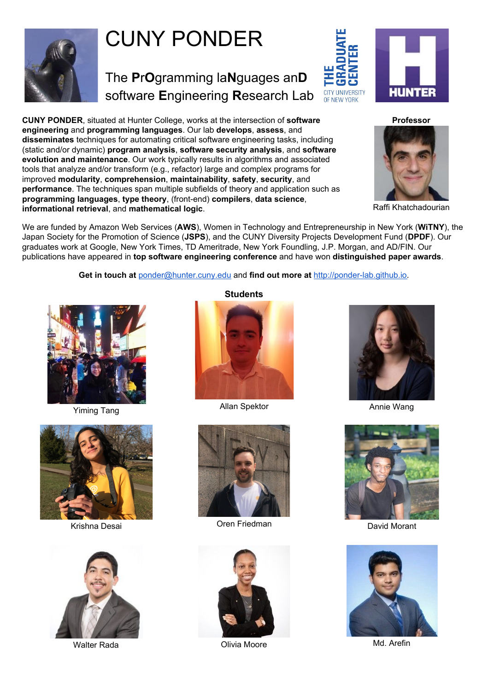

# CUNY PONDER

The **P**r**O**gramming la**N**guages an**D** software **E**ngineering **R**esearch Lab

**HUNTER CITY UNIVERSITY** OF NEW YORK

**CUNY PONDER**, situated at Hunter College, works at the intersection of **software engineering** and **programming languages**. Our lab **develops**, **assess**, and **disseminates** techniques for automating critical software engineering tasks, including (static and/or dynamic) **program analysis**, **software security analysis**, and **software evolution and maintenance**. Our work typically results in algorithms and associated tools that analyze and/or transform (e.g., refactor) large and complex programs for improved **modularity**, **comprehension**, **maintainability**, **safety**, **security**, and **performance**. The techniques span multiple subfields of theory and application such as **programming languages**, **type theory**, (front-end) **compilers**, **data science**, **informational retrieval**, and **mathematical logic**.





Raffi Khatchadourian

We are funded by Amazon Web Services (**AWS**), Women in Technology and Entrepreneurship in New York (**WiTNY**), the Japan Society for the Promotion of Science (**JSPS**), and the CUNY Diversity Projects Development Fund (**DPDF**). Our graduates work at Google, New York Times, TD Ameritrade, New York Foundling, J.P. Morgan, and AD/FIN. Our publications have appeared in **top software engineering conference** and have won **distinguished paper awards**.

**Get in touch at** [ponder@hunter.cuny.edu](mailto:ponder@hunter.cuny.edu) and **find out more at** [http://ponder-lab.github.io](http://ponder-lab.github.io/).



Yiming Tang





#### **Students**



Allan Spektor **Annie Wang** 



**Krishna Desai Navigation Creen Friedman** David Morant David Morant









Walter Rada **Matuku Karata Moore** Matuku Noore Matuku Noore Matuku Noore Matuku Noore Matuku Noore Matuku Noore